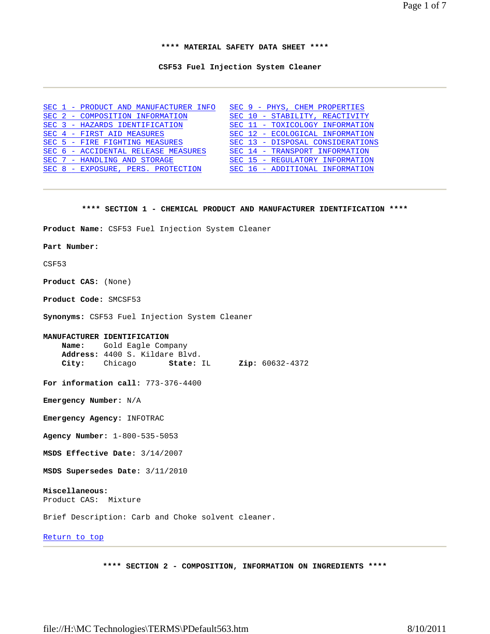Page 1 of 7

**\*\*\*\* MATERIAL SAFETY DATA SHEET \*\*\*\*** 

**CSF53 Fuel Injection System Cleaner** 

|  | SEC 1 - PRODUCT AND MANUFACTURER INFO | SEC 9 - PHYS, CHEM PROPERTIES    |
|--|---------------------------------------|----------------------------------|
|  | SEC 2 - COMPOSITION INFORMATION       | SEC 10 - STABILITY, REACTIVITY   |
|  | SEC 3 - HAZARDS IDENTIFICATION        | SEC 11 - TOXICOLOGY INFORMATION  |
|  | SEC 4 - FIRST AID MEASURES            | SEC 12 - ECOLOGICAL INFORMATION  |
|  | SEC 5 - FIRE FIGHTING MEASURES        | SEC 13 - DISPOSAL CONSIDERATIONS |
|  | SEC 6 - ACCIDENTAL RELEASE MEASURES   | SEC 14 - TRANSPORT INFORMATION   |
|  | SEC 7 - HANDLING AND STORAGE          | SEC 15 - REGULATORY INFORMATION  |
|  | SEC 8 - EXPOSURE, PERS. PROTECTION    | SEC 16 - ADDITIONAL INFORMATION  |

#### **\*\*\*\* SECTION 1 - CHEMICAL PRODUCT AND MANUFACTURER IDENTIFICATION \*\*\*\***

**Product Name:** CSF53 Fuel Injection System Cleaner

#### **Part Number:**

CSF53

**Product CAS:** (None)

**Product Code:** SMCSF53

**Synonyms:** CSF53 Fuel Injection System Cleaner

# **MANUFACTURER IDENTIFICATION**

 **Name:** Gold Eagle Company **Address:** 4400 S. Kildare Blvd. **City:** Chicago **State:** IL **Zip:** 60632-4372

**For information call:** 773-376-4400

**Emergency Number:** N/A

**Emergency Agency:** INFOTRAC

**Agency Number:** 1-800-535-5053

**MSDS Effective Date:** 3/14/2007

**MSDS Supersedes Date:** 3/11/2010

# **Miscellaneous:**

Product CAS: Mixture

Brief Description: Carb and Choke solvent cleaner.

# Return to top

**\*\*\*\* SECTION 2 - COMPOSITION, INFORMATION ON INGREDIENTS \*\*\*\***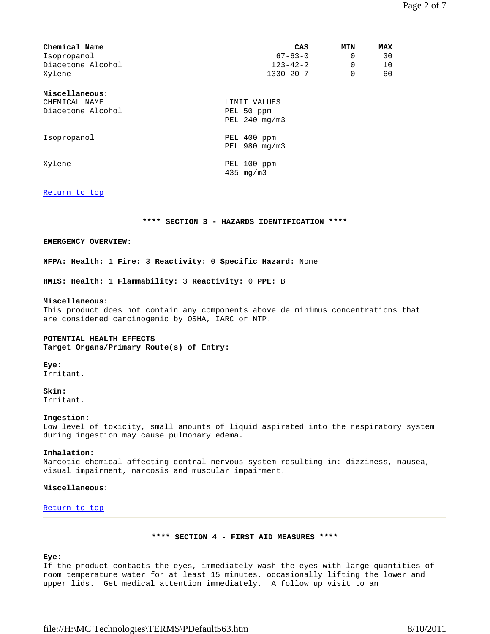| Chemical Name     | CAS             | <b>MIN</b> | <b>MAX</b> |
|-------------------|-----------------|------------|------------|
| Isopropanol       | $67 - 63 - 0$   | 0          | 30         |
| Diacetone Alcohol | $123 - 42 - 2$  | 0          | 10         |
| Xylene            | $1330 - 20 - 7$ | 0          | 60         |
| Miscellaneous:    |                 |            |            |
| CHEMICAL NAME     | LIMIT VALUES    |            |            |
| Diacetone Alcohol | PEL 50 ppm      |            |            |
|                   | PEL 240 mg/m3   |            |            |
| Isopropanol       | PEL 400 ppm     |            |            |
|                   | PEL 980 mg/m3   |            |            |
| Xylene            | PEL 100 ppm     |            |            |
|                   | $435 \,$ mg/m3  |            |            |

# Return to top

**\*\*\*\* SECTION 3 - HAZARDS IDENTIFICATION \*\*\*\*** 

# **EMERGENCY OVERVIEW:**

**NFPA: Health:** 1 **Fire:** 3 **Reactivity:** 0 **Specific Hazard:** None

**HMIS: Health:** 1 **Flammability:** 3 **Reactivity:** 0 **PPE:** B

#### **Miscellaneous:**

This product does not contain any components above de minimus concentrations that are considered carcinogenic by OSHA, IARC or NTP.

#### **POTENTIAL HEALTH EFFECTS**

**Target Organs/Primary Route(s) of Entry:**

#### **Eye:**

Irritant.

# **Skin:**

Irritant.

#### **Ingestion:**

Low level of toxicity, small amounts of liquid aspirated into the respiratory system during ingestion may cause pulmonary edema.

#### **Inhalation:**

Narcotic chemical affecting central nervous system resulting in: dizziness, nausea, visual impairment, narcosis and muscular impairment.

# **Miscellaneous:**

#### Return to top

# **\*\*\*\* SECTION 4 - FIRST AID MEASURES \*\*\*\***

# **Eye:**

If the product contacts the eyes, immediately wash the eyes with large quantities of room temperature water for at least 15 minutes, occasionally lifting the lower and upper lids. Get medical attention immediately. A follow up visit to an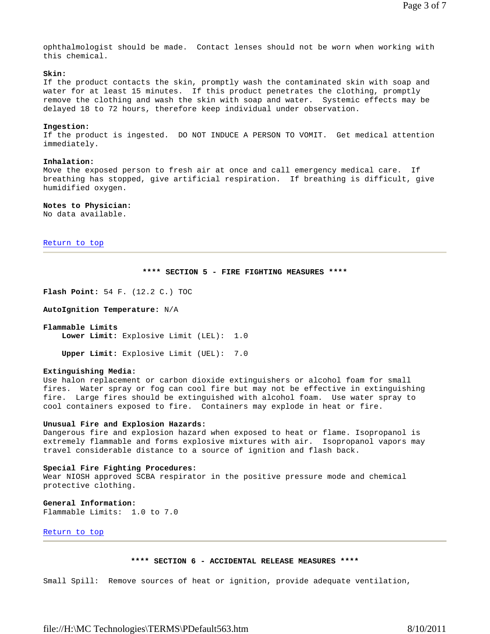ophthalmologist should be made. Contact lenses should not be worn when working with this chemical.

# **Skin:**

If the product contacts the skin, promptly wash the contaminated skin with soap and water for at least 15 minutes. If this product penetrates the clothing, promptly remove the clothing and wash the skin with soap and water. Systemic effects may be delayed 18 to 72 hours, therefore keep individual under observation.

# **Ingestion:**

If the product is ingested. DO NOT INDUCE A PERSON TO VOMIT. Get medical attention immediately.

#### **Inhalation:**

Move the exposed person to fresh air at once and call emergency medical care. If breathing has stopped, give artificial respiration. If breathing is difficult, give humidified oxygen.

# **Notes to Physician:**

No data available.

Return to top

# **\*\*\*\* SECTION 5 - FIRE FIGHTING MEASURES \*\*\*\***

**Flash Point:** 54 F. (12.2 C.) TOC

**AutoIgnition Temperature:** N/A

# **Flammable Limits Lower Limit:** Explosive Limit (LEL): 1.0

**Upper Limit:** Explosive Limit (UEL): 7.0

#### **Extinguishing Media:**

Use halon replacement or carbon dioxide extinguishers or alcohol foam for small fires. Water spray or fog can cool fire but may not be effective in extinguishing fire. Large fires should be extinguished with alcohol foam. Use water spray to cool containers exposed to fire. Containers may explode in heat or fire.

#### **Unusual Fire and Explosion Hazards:**

Dangerous fire and explosion hazard when exposed to heat or flame. Isopropanol is extremely flammable and forms explosive mixtures with air. Isopropanol vapors may travel considerable distance to a source of ignition and flash back.

#### **Special Fire Fighting Procedures:**

Wear NIOSH approved SCBA respirator in the positive pressure mode and chemical protective clothing.

# **General Information:**

Flammable Limits: 1.0 to 7.0

# Return to top

#### **\*\*\*\* SECTION 6 - ACCIDENTAL RELEASE MEASURES \*\*\*\***

Small Spill: Remove sources of heat or ignition, provide adequate ventilation,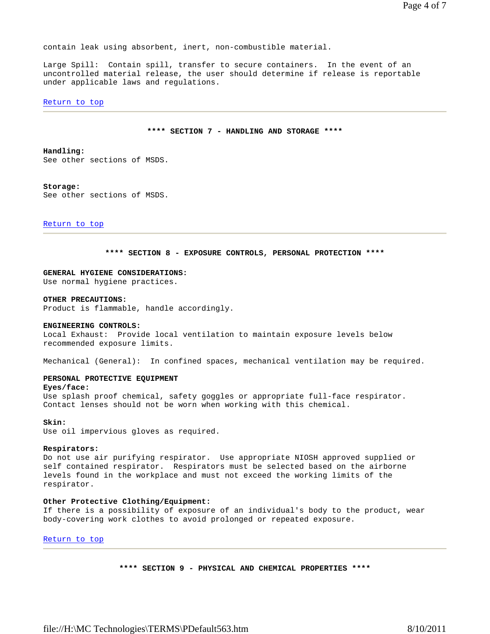contain leak using absorbent, inert, non-combustible material.

Large Spill: Contain spill, transfer to secure containers. In the event of an uncontrolled material release, the user should determine if release is reportable under applicable laws and regulations.

#### Return to top

#### **\*\*\*\* SECTION 7 - HANDLING AND STORAGE \*\*\*\***

#### **Handling:**

See other sections of MSDS.

#### **Storage:**

See other sections of MSDS.

Return to top

#### **\*\*\*\* SECTION 8 - EXPOSURE CONTROLS, PERSONAL PROTECTION \*\*\*\***

# **GENERAL HYGIENE CONSIDERATIONS:**

Use normal hygiene practices.

#### **OTHER PRECAUTIONS:**

Product is flammable, handle accordingly.

#### **ENGINEERING CONTROLS:**

Local Exhaust: Provide local ventilation to maintain exposure levels below recommended exposure limits.

Mechanical (General): In confined spaces, mechanical ventilation may be required.

# **PERSONAL PROTECTIVE EQUIPMENT**

#### **Eyes/face:**

Use splash proof chemical, safety goggles or appropriate full-face respirator. Contact lenses should not be worn when working with this chemical.

#### **Skin:**

Use oil impervious gloves as required.

#### **Respirators:**

Do not use air purifying respirator. Use appropriate NIOSH approved supplied or self contained respirator. Respirators must be selected based on the airborne levels found in the workplace and must not exceed the working limits of the respirator.

#### **Other Protective Clothing/Equipment:**

If there is a possibility of exposure of an individual's body to the product, wear body-covering work clothes to avoid prolonged or repeated exposure.

Return to top

**\*\*\*\* SECTION 9 - PHYSICAL AND CHEMICAL PROPERTIES \*\*\*\***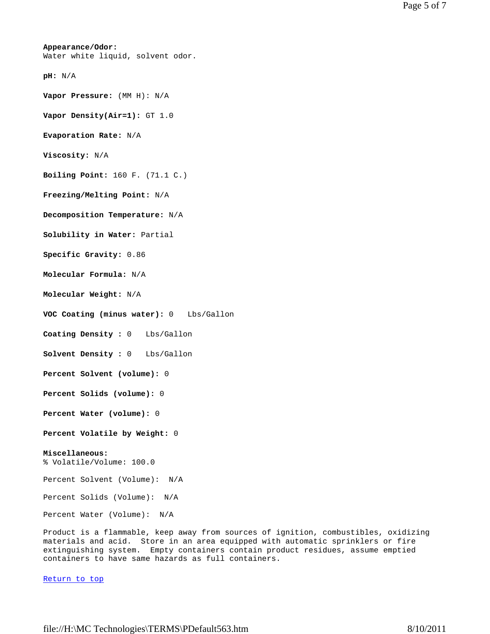# **Appearance/Odor:** Water white liquid, solvent odor. **pH:** N/A **Vapor Pressure:** (MM H): N/A **Vapor Density(Air=1):** GT 1.0 **Evaporation Rate:** N/A **Viscosity:** N/A **Boiling Point:** 160 F. (71.1 C.) **Freezing/Melting Point:** N/A **Decomposition Temperature:** N/A **Solubility in Water:** Partial **Specific Gravity:** 0.86 **Molecular Formula:** N/A **Molecular Weight:** N/A **VOC Coating (minus water):** 0 Lbs/Gallon **Coating Density :** 0 Lbs/Gallon **Solvent Density :** 0 Lbs/Gallon **Percent Solvent (volume):** 0 **Percent Solids (volume):** 0 **Percent Water (volume):** 0 **Percent Volatile by Weight:** 0 **Miscellaneous:** % Volatile/Volume: 100.0 Percent Solvent (Volume): N/A Percent Solids (Volume): N/A Percent Water (Volume): N/A

Product is a flammable, keep away from sources of ignition, combustibles, oxidizing materials and acid. Store in an area equipped with automatic sprinklers or fire extinguishing system. Empty containers contain product residues, assume emptied containers to have same hazards as full containers.

Return to top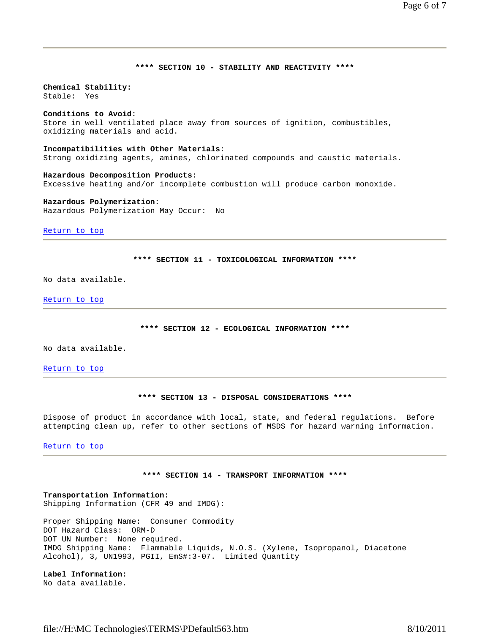# **\*\*\*\* SECTION 10 - STABILITY AND REACTIVITY \*\*\*\***

**Chemical Stability:** Stable: Yes

# **Conditions to Avoid:**

Store in well ventilated place away from sources of ignition, combustibles, oxidizing materials and acid.

# **Incompatibilities with Other Materials:**

Strong oxidizing agents, amines, chlorinated compounds and caustic materials.

**Hazardous Decomposition Products:** Excessive heating and/or incomplete combustion will produce carbon monoxide.

# **Hazardous Polymerization:**

Hazardous Polymerization May Occur: No

Return to top

# **\*\*\*\* SECTION 11 - TOXICOLOGICAL INFORMATION \*\*\*\***

No data available.

Return to top

#### **\*\*\*\* SECTION 12 - ECOLOGICAL INFORMATION \*\*\*\***

No data available.

Return to top

#### **\*\*\*\* SECTION 13 - DISPOSAL CONSIDERATIONS \*\*\*\***

Dispose of product in accordance with local, state, and federal regulations. Before attempting clean up, refer to other sections of MSDS for hazard warning information.

Return to top

# **\*\*\*\* SECTION 14 - TRANSPORT INFORMATION \*\*\*\***

**Transportation Information:** Shipping Information (CFR 49 and IMDG):

Proper Shipping Name: Consumer Commodity DOT Hazard Class: ORM-D DOT UN Number: None required. IMDG Shipping Name: Flammable Liquids, N.O.S. (Xylene, Isopropanol, Diacetone Alcohol), 3, UN1993, PGII, EmS#:3-07. Limited Quantity

**Label Information:** No data available.